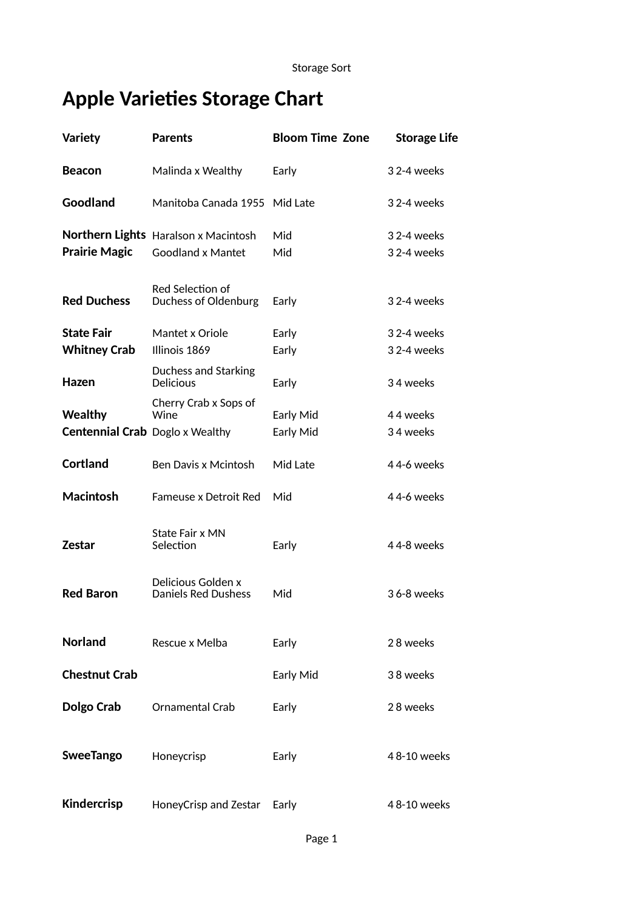## **Apple Varieties Storage Chart**

| <b>Variety</b>                         | <b>Parents</b>                                   | <b>Bloom Time Zone</b> | <b>Storage Life</b> |
|----------------------------------------|--------------------------------------------------|------------------------|---------------------|
| <b>Beacon</b>                          | Malinda x Wealthy                                | Early                  | 32-4 weeks          |
| Goodland                               | Manitoba Canada 1955 Mid Late                    |                        | 32-4 weeks          |
|                                        | Northern Lights Haralson x Macintosh             | Mid                    | 32-4 weeks          |
| <b>Prairie Magic</b>                   | <b>Goodland x Mantet</b>                         | Mid                    | 32-4 weeks          |
| <b>Red Duchess</b>                     | Red Selection of<br>Duchess of Oldenburg         | Early                  | 32-4 weeks          |
| <b>State Fair</b>                      | Mantet x Oriole                                  | Early                  | 32-4 weeks          |
| <b>Whitney Crab</b>                    | Illinois 1869                                    | Early                  | 32-4 weeks          |
| Hazen                                  | Duchess and Starking<br><b>Delicious</b>         | Early                  | 34 weeks            |
| <b>Wealthy</b>                         | Cherry Crab x Sops of<br>Wine                    | Early Mid              | 44 weeks            |
| <b>Centennial Crab</b> Doglo x Wealthy |                                                  | Early Mid              | 34 weeks            |
| <b>Cortland</b>                        | Ben Davis x Mcintosh                             | Mid Late               | 44-6 weeks          |
| <b>Macintosh</b>                       | <b>Fameuse x Detroit Red</b>                     | Mid                    | 44-6 weeks          |
| <b>Zestar</b>                          | State Fair x MN<br>Selection                     | Early                  | 44-8 weeks          |
| <b>Red Baron</b>                       | Delicious Golden x<br><b>Daniels Red Dushess</b> | Mid                    | 36-8 weeks          |
| <b>Norland</b>                         | Rescue x Melba                                   | Early                  | 28 weeks            |
| <b>Chestnut Crab</b>                   |                                                  | Early Mid              | 38 weeks            |
| Dolgo Crab                             | <b>Ornamental Crab</b>                           | Early                  | 28 weeks            |
| <b>SweeTango</b>                       | Honeycrisp                                       | Early                  | 48-10 weeks         |
| <b>Kindercrisp</b>                     | HoneyCrisp and Zestar                            | Early                  | 48-10 weeks         |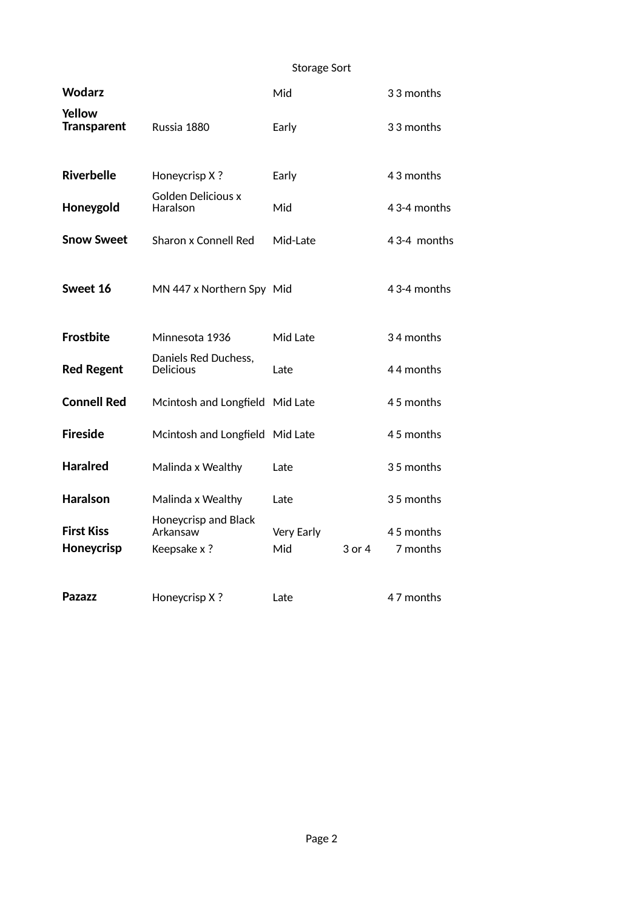## Storage Sort

| <b>Wodarz</b>                   |                                                  | Mid               |        | 33 months             |
|---------------------------------|--------------------------------------------------|-------------------|--------|-----------------------|
| Yellow<br><b>Transparent</b>    | Russia 1880                                      | Early             |        | 33 months             |
| <b>Riverbelle</b>               | Honeycrisp X?                                    | Early             |        | 43 months             |
| Honeygold                       | <b>Golden Delicious x</b><br>Haralson            | Mid               |        | 43-4 months           |
| <b>Snow Sweet</b>               | Sharon x Connell Red                             | Mid-Late          |        | 43-4 months           |
| Sweet 16                        | MN 447 x Northern Spy Mid                        |                   |        | 43-4 months           |
| <b>Frostbite</b>                | Minnesota 1936                                   | Mid Late          |        | 34 months             |
| <b>Red Regent</b>               | Daniels Red Duchess,<br><b>Delicious</b>         | Late              |        | 44 months             |
| <b>Connell Red</b>              | Mcintosh and Longfield                           | Mid Late          |        | 45 months             |
| <b>Fireside</b>                 | Mcintosh and Longfield Mid Late                  |                   |        | 45 months             |
| <b>Haralred</b>                 | Malinda x Wealthy                                | Late              |        | 35 months             |
| <b>Haralson</b>                 | Malinda x Wealthy                                | Late              |        | 35 months             |
| <b>First Kiss</b><br>Honeycrisp | Honeycrisp and Black<br>Arkansaw<br>Keepsake x ? | Very Early<br>Mid | 3 or 4 | 45 months<br>7 months |
| <b>Pazazz</b>                   | Honeycrisp X?                                    | I ate             |        | 47 months             |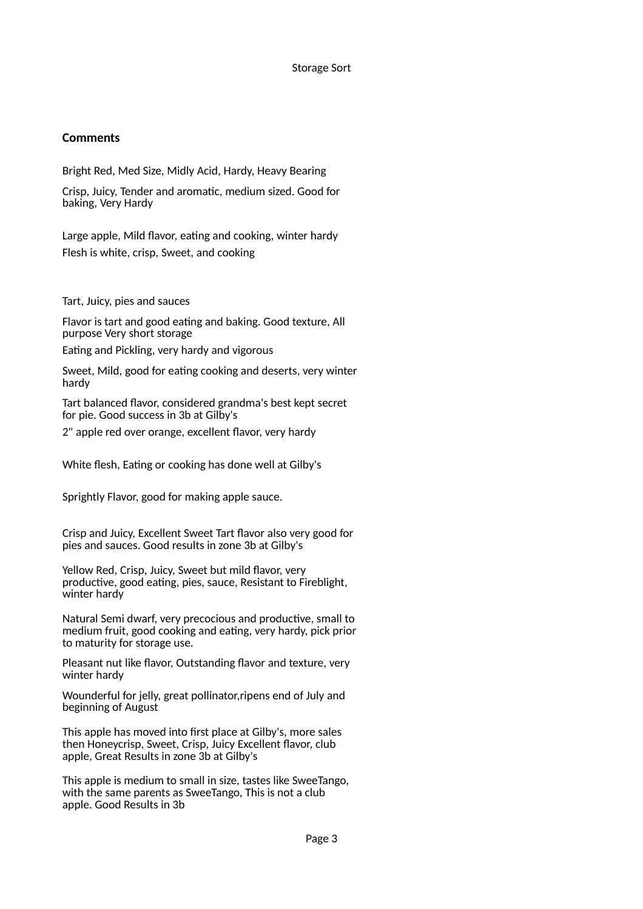#### Storage Sort

### **Comments**

Bright Red, Med Size, Midly Acid, Hardy, Heavy Bearing

Crisp, Juicy, Tender and aromatic, medium sized. Good for baking, Very Hardy

Large apple, Mild flavor, eating and cooking, winter hardy Flesh is white, crisp, Sweet, and cooking

Tart, Juicy, pies and sauces

Flavor is tart and good eating and baking. Good texture, All purpose Very short storage

Eating and Pickling, very hardy and vigorous

Sweet, Mild, good for eating cooking and deserts, very winter hardy

Tart balanced flavor, considered grandma's best kept secret for pie. Good success in 3b at Gilby's

2" apple red over orange, excellent flavor, very hardy

White flesh, Eating or cooking has done well at Gilby's

Sprightly Flavor, good for making apple sauce.

Crisp and Juicy, Excellent Sweet Tart flavor also very good for pies and sauces. Good results in zone 3b at Gilby's

Yellow Red, Crisp, Juicy, Sweet but mild flavor, very productive, good eating, pies, sauce, Resistant to Fireblight, winter hardy

Natural Semi dwarf, very precocious and productive, small to medium fruit, good cooking and eating, very hardy, pick prior to maturity for storage use.

Pleasant nut like flavor, Outstanding flavor and texture, very winter hardy

Wounderful for jelly, great pollinator,ripens end of July and beginning of August

This apple has moved into first place at Gilby's, more sales then Honeycrisp, Sweet, Crisp, Juicy Excellent flavor, club apple, Great Results in zone 3b at Gilby's

This apple is medium to small in size, tastes like SweeTango, with the same parents as SweeTango, This is not a club apple. Good Results in 3b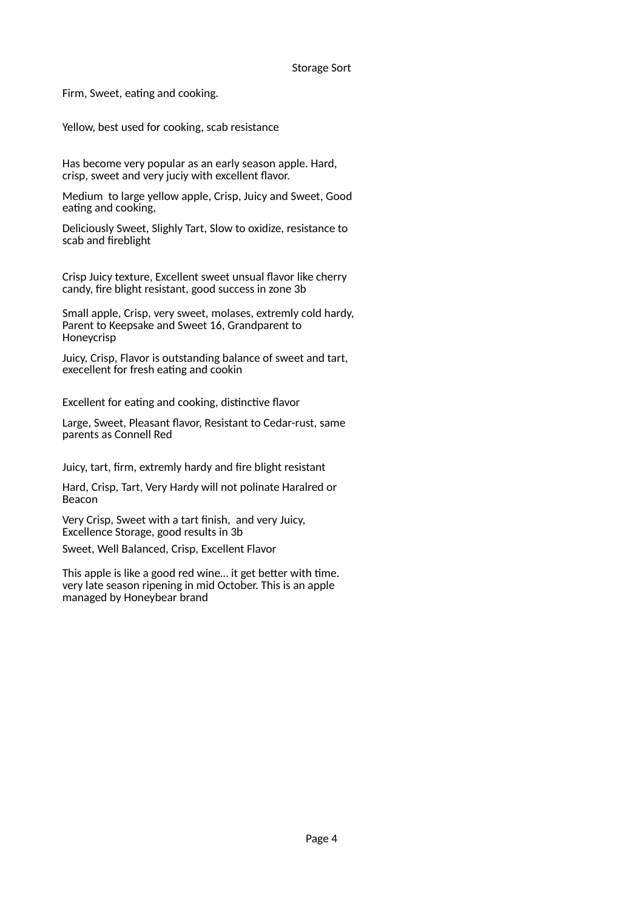#### Storage Sort

Firm, Sweet, eating and cooking.

Yellow, best used for cooking, scab resistance

Has become very popular as an early season apple. Hard, crisp, sweet and very juciy with excellent flavor.

Medium to large yellow apple, Crisp, Juicy and Sweet, Good eating and cooking,

Deliciously Sweet, Slighly Tart, Slow to oxidize, resistance to scab and fireblight

Crisp Juicy texture, Excellent sweet unsual flavor like cherry candy, fire blight resistant, good success in zone 3b

Small apple, Crisp, very sweet, molases, extremly cold hardy, Parent to Keepsake and Sweet 16, Grandparent to Honeycrisp

Juicy, Crisp, Flavor is outstanding balance of sweet and tart, execellent for fresh eating and cookin

Excellent for eating and cooking, distinctive flavor

Large, Sweet, Pleasant flavor, Resistant to Cedar-rust, same parents as Connell Red

Juicy, tart, firm, extremly hardy and fire blight resistant

Hard, Crisp, Tart, Very Hardy will not polinate Haralred or Beacon

Very Crisp, Sweet with a tart finish, and very Juicy, Excellence Storage, good results in 3b

Sweet, Well Balanced, Crisp, Excellent Flavor

This apple is like a good red wine… it get better with time. very late season ripening in mid October. This is an apple managed by Honeybear brand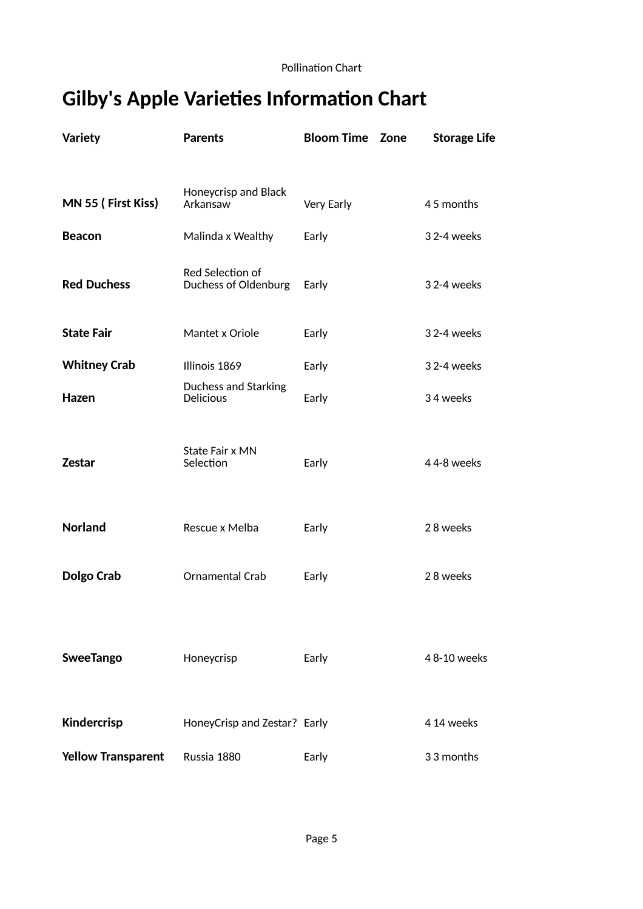## **Gilby's Apple Varieties Information Chart**

| <b>Variety</b>            | <b>Parents</b>                           | <b>Bloom Time Zone</b> | <b>Storage Life</b> |
|---------------------------|------------------------------------------|------------------------|---------------------|
|                           |                                          |                        |                     |
| MN 55 (First Kiss)        | Honeycrisp and Black<br>Arkansaw         | Very Early             | 45 months           |
| <b>Beacon</b>             | Malinda x Wealthy                        | Early                  | 3 2-4 weeks         |
| <b>Red Duchess</b>        | Red Selection of<br>Duchess of Oldenburg | Early                  | 3 2-4 weeks         |
| <b>State Fair</b>         | Mantet x Oriole                          | Early                  | 3 2-4 weeks         |
| <b>Whitney Crab</b>       | Illinois 1869                            | Early                  | 3 2-4 weeks         |
| Hazen                     | Duchess and Starking<br><b>Delicious</b> | Early                  | 34 weeks            |
| <b>Zestar</b>             | State Fair x MN<br>Selection             | Early                  | 44-8 weeks          |
| <b>Norland</b>            | Rescue x Melba                           | Early                  | 28 weeks            |
| Dolgo Crab                | <b>Ornamental Crab</b>                   | Early                  | 28 weeks            |
| <b>SweeTango</b>          | Honeycrisp                               | Early                  | 48-10 weeks         |
| Kindercrisp               | HoneyCrisp and Zestar? Early             |                        | 4 14 weeks          |
| <b>Yellow Transparent</b> | Russia 1880                              | Early                  | 33 months           |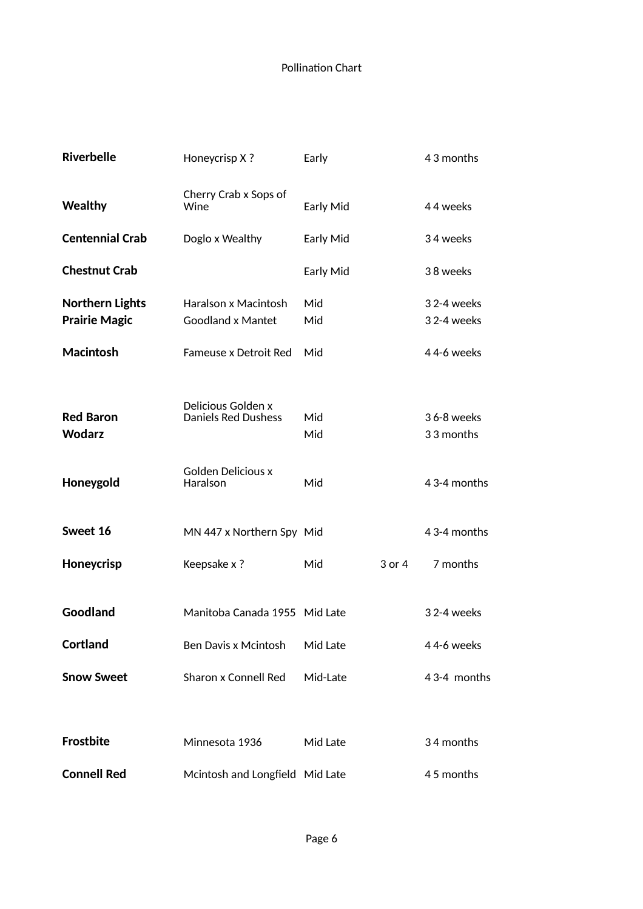| <b>Riverbelle</b>                              | Honeycrisp X?                                    | Early      |        | 43 months                 |
|------------------------------------------------|--------------------------------------------------|------------|--------|---------------------------|
| <b>Wealthy</b>                                 | Cherry Crab x Sops of<br>Wine                    | Early Mid  |        | 44 weeks                  |
| <b>Centennial Crab</b>                         | Doglo x Wealthy                                  | Early Mid  |        | 34 weeks                  |
| <b>Chestnut Crab</b>                           |                                                  | Early Mid  |        | 38 weeks                  |
| <b>Northern Lights</b><br><b>Prairie Magic</b> | Haralson x Macintosh<br><b>Goodland x Mantet</b> | Mid<br>Mid |        | 3 2-4 weeks<br>32-4 weeks |
| <b>Macintosh</b>                               | Fameuse x Detroit Red                            | Mid        |        | 44-6 weeks                |
| <b>Red Baron</b><br><b>Wodarz</b>              | Delicious Golden x<br><b>Daniels Red Dushess</b> | Mid<br>Mid |        | 36-8 weeks<br>33 months   |
| Honeygold                                      | <b>Golden Delicious x</b><br>Haralson            | Mid        |        | 43-4 months               |
| Sweet 16                                       | MN 447 x Northern Spy Mid                        |            |        | 43-4 months               |
| Honeycrisp                                     | Keepsake x ?                                     | Mid        | 3 or 4 | 7 months                  |
| Goodland                                       | Manitoba Canada 1955 Mid Late                    |            |        | 32-4 weeks                |
| <b>Cortland</b>                                | Ben Davis x Mcintosh                             | Mid Late   |        | 44-6 weeks                |
| <b>Snow Sweet</b>                              | Sharon x Connell Red                             | Mid-Late   |        | 43-4 months               |
|                                                |                                                  |            |        |                           |
| <b>Frostbite</b>                               | Minnesota 1936                                   | Mid Late   |        | 34 months                 |
| <b>Connell Red</b>                             | Mcintosh and Longfield Mid Late                  |            |        | 45 months                 |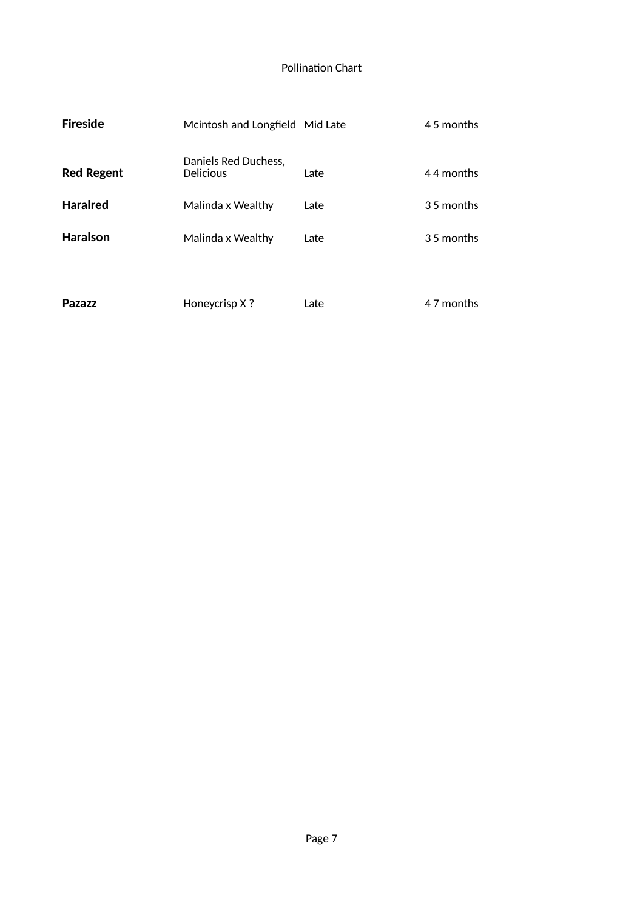| <b>Fireside</b>   | Mcintosh and Longfield Mid Late          |      | 45 months  |
|-------------------|------------------------------------------|------|------------|
| <b>Red Regent</b> | Daniels Red Duchess,<br><b>Delicious</b> | Late | 44 months  |
| <b>Haralred</b>   | Malinda x Wealthy                        | Late | 35 months  |
| <b>Haralson</b>   | Malinda x Wealthy                        | Late | 3.5 months |
| Pazazz            | Honeycrisp X?                            | Late | 4.7 months |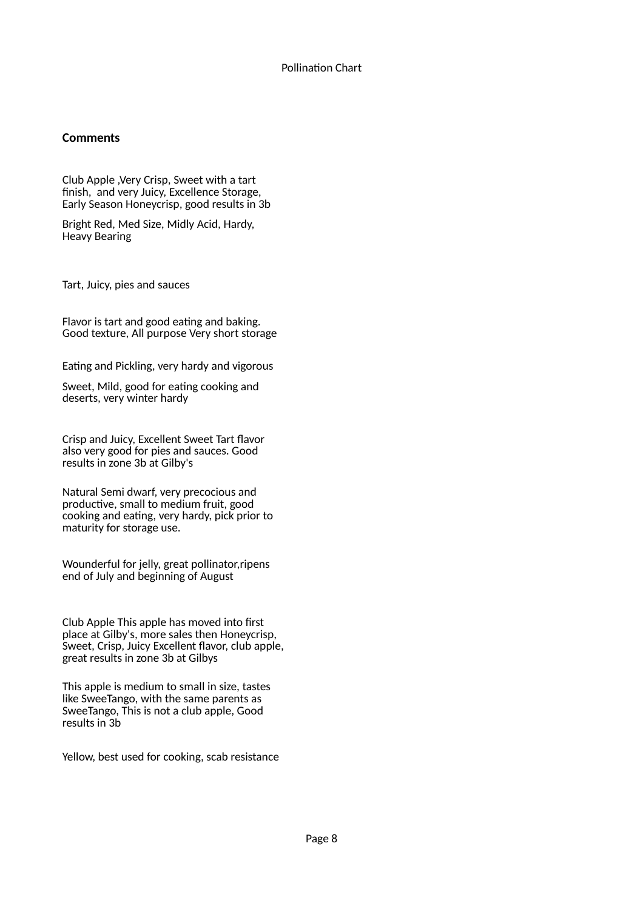## **Comments**

Club Apple ,Very Crisp, Sweet with a tart finish, and very Juicy, Excellence Storage, Early Season Honeycrisp, good results in 3b

Bright Red, Med Size, Midly Acid, Hardy, Heavy Bearing

Tart, Juicy, pies and sauces

Flavor is tart and good eating and baking. Good texture, All purpose Very short storage

Eating and Pickling, very hardy and vigorous

Sweet, Mild, good for eating cooking and deserts, very winter hardy

Crisp and Juicy, Excellent Sweet Tart flavor also very good for pies and sauces. Good results in zone 3b at Gilby's

Natural Semi dwarf, very precocious and productive, small to medium fruit, good cooking and eating, very hardy, pick prior to maturity for storage use.

Wounderful for jelly, great pollinator,ripens end of July and beginning of August

Club Apple This apple has moved into first place at Gilby's, more sales then Honeycrisp, Sweet, Crisp, Juicy Excellent flavor, club apple, great results in zone 3b at Gilbys

This apple is medium to small in size, tastes like SweeTango, with the same parents as SweeTango, This is not a club apple, Good results in 3b

Yellow, best used for cooking, scab resistance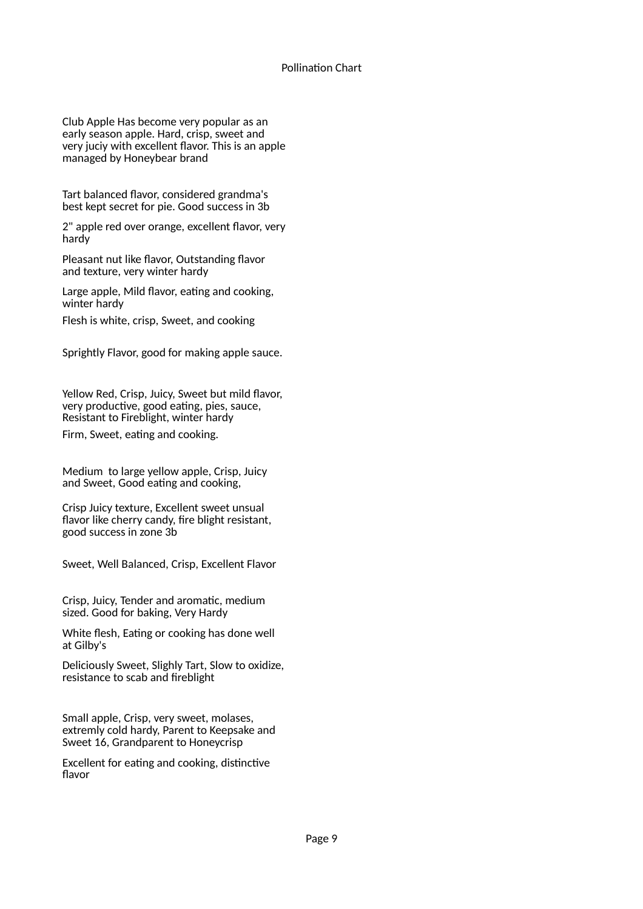Club Apple Has become very popular as an early season apple. Hard, crisp, sweet and very juciy with excellent flavor. This is an apple managed by Honeybear brand

Tart balanced flavor, considered grandma's best kept secret for pie. Good success in 3b

2" apple red over orange, excellent flavor, very hardy

Pleasant nut like flavor, Outstanding flavor and texture, very winter hardy

Large apple, Mild flavor, eating and cooking, winter hardy

Flesh is white, crisp, Sweet, and cooking

Sprightly Flavor, good for making apple sauce.

Yellow Red, Crisp, Juicy, Sweet but mild flavor, very productive, good eating, pies, sauce, Resistant to Fireblight, winter hardy

Firm, Sweet, eating and cooking.

Medium to large yellow apple, Crisp, Juicy and Sweet, Good eating and cooking,

Crisp Juicy texture, Excellent sweet unsual flavor like cherry candy, fire blight resistant, good success in zone 3b

Sweet, Well Balanced, Crisp, Excellent Flavor

Crisp, Juicy, Tender and aromatic, medium sized. Good for baking, Very Hardy

White flesh, Eating or cooking has done well at Gilby's

Deliciously Sweet, Slighly Tart, Slow to oxidize, resistance to scab and fireblight

Small apple, Crisp, very sweet, molases, extremly cold hardy, Parent to Keepsake and Sweet 16, Grandparent to Honeycrisp

Excellent for eating and cooking, distinctive flavor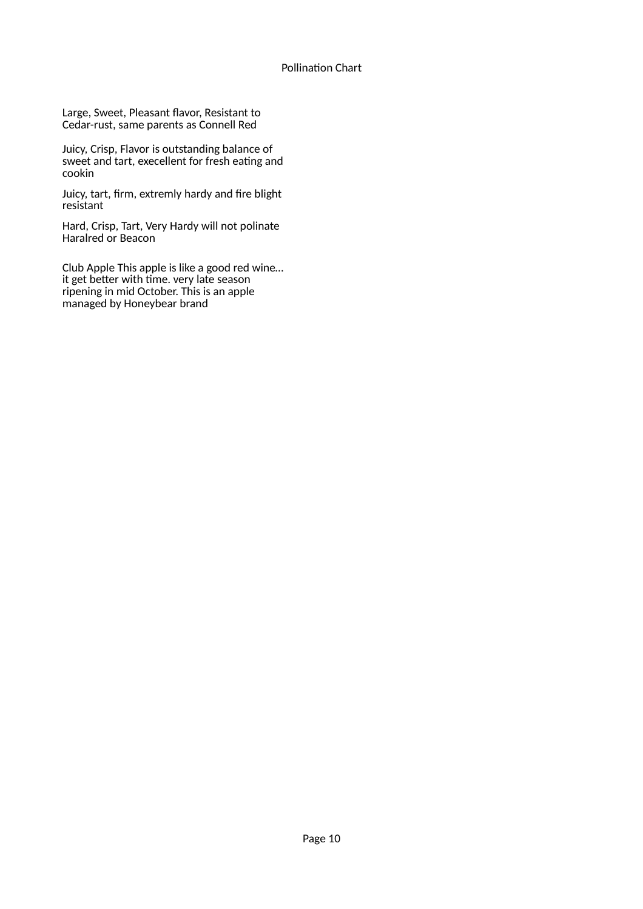Large, Sweet, Pleasant flavor, Resistant to Cedar-rust, same parents as Connell Red

Juicy, Crisp, Flavor is outstanding balance of sweet and tart, execellent for fresh eating and cookin

Juicy, tart, firm, extremly hardy and fire blight resistant

Hard, Crisp, Tart, Very Hardy will not polinate Haralred or Beacon

Club Apple This apple is like a good red wine… it get better with time. very late season ripening in mid October. This is an apple managed by Honeybear brand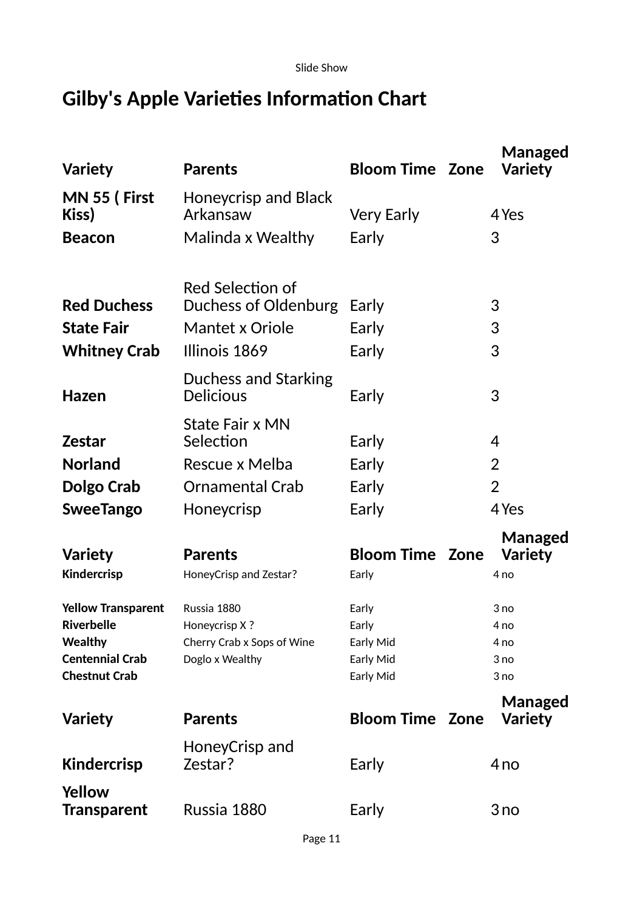Slide Show

## **Gilby's Apple Varieties Information Chart**

| <b>Variety</b>                          | <b>Parents</b>                              | <b>Bloom Time Zone</b> | Managed<br><b>Variety</b> |
|-----------------------------------------|---------------------------------------------|------------------------|---------------------------|
| MN 55 (First<br>Kiss)                   | Honeycrisp and Black<br>Arkansaw            | <b>Very Early</b>      | 4 Yes                     |
| <b>Beacon</b>                           | Malinda x Wealthy                           | Early                  | 3                         |
| <b>Red Duchess</b>                      | Red Selection of<br>Duchess of Oldenburg    | Early                  | 3                         |
| <b>State Fair</b>                       | Mantet x Oriole                             | Early                  | 3                         |
| <b>Whitney Crab</b>                     | Illinois 1869                               | Early                  | 3                         |
| Hazen                                   | Duchess and Starking<br><b>Delicious</b>    | Early                  | 3                         |
| <b>Zestar</b>                           | <b>State Fair x MN</b><br>Selection         | Early                  | $\overline{4}$            |
| <b>Norland</b>                          | Rescue x Melba                              | Early                  | $\overline{2}$            |
| Dolgo Crab                              | <b>Ornamental Crab</b>                      | Early                  | $\overline{2}$            |
| <b>SweeTango</b>                        | Honeycrisp                                  | Early                  | 4 Yes                     |
|                                         |                                             |                        | Managed                   |
| <b>Variety</b>                          | <b>Parents</b>                              | <b>Bloom Time Zone</b> | <b>Variety</b>            |
| Kindercrisp                             | HoneyCrisp and Zestar?                      | Early                  | 4 <sub>no</sub>           |
| <b>Yellow Transparent</b><br>Riverbelle | Russia 1880                                 | Early                  | 3 no                      |
| <b>Wealthy</b>                          | Honeycrisp X?<br>Cherry Crab x Sops of Wine | Early<br>Early Mid     | 4 no<br>4 no              |
| <b>Centennial Crab</b>                  | Doglo x Wealthy                             | Early Mid              | 3 no                      |
| <b>Chestnut Crab</b>                    |                                             | Early Mid              | 3 no                      |
|                                         |                                             |                        | Managed                   |
| <b>Variety</b>                          | <b>Parents</b>                              | <b>Bloom Time Zone</b> | <b>Variety</b>            |
| Kindercrisp                             | HoneyCrisp and<br>Zestar?                   | Early                  | 4 <sub>no</sub>           |
| Yellow<br><b>Transparent</b>            | Russia 1880                                 | Early                  | 3 no                      |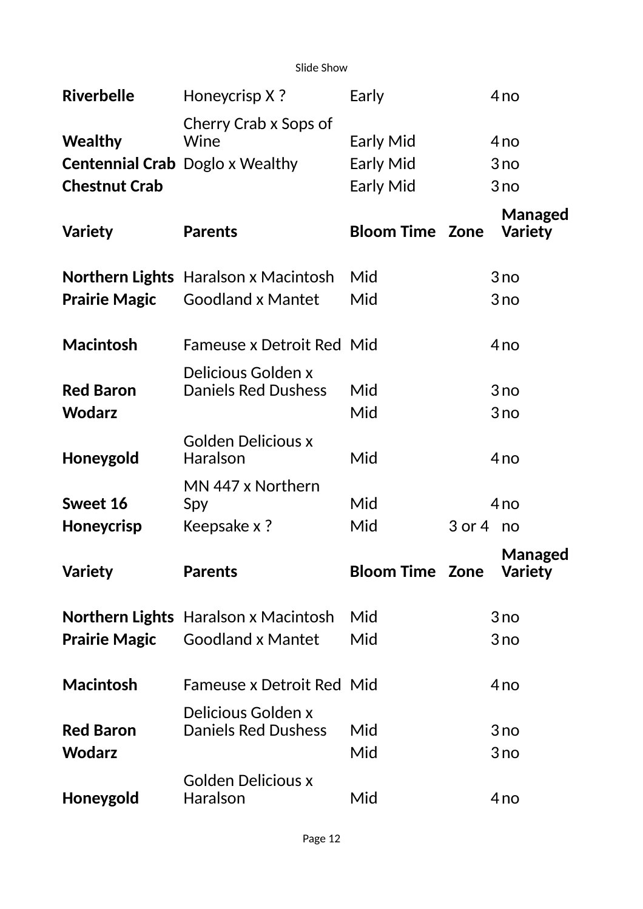Slide Show

| <b>Riverbelle</b>                 | Honeycrisp X?                                    | Early                  | 4 <sub>no</sub>           |
|-----------------------------------|--------------------------------------------------|------------------------|---------------------------|
| <b>Wealthy</b>                    | Cherry Crab x Sops of<br>Wine                    | <b>Early Mid</b>       | 4 <sub>no</sub>           |
|                                   | <b>Centennial Crab</b> Doglo x Wealthy           | <b>Early Mid</b>       | 3no                       |
| <b>Chestnut Crab</b>              |                                                  | <b>Early Mid</b>       | 3 no                      |
| <b>Variety</b>                    | <b>Parents</b>                                   | <b>Bloom Time Zone</b> | Managed<br><b>Variety</b> |
|                                   | <b>Northern Lights</b> Haralson x Macintosh      | Mid                    | 3no                       |
| <b>Prairie Magic</b>              | <b>Goodland x Mantet</b>                         | Mid                    | 3no                       |
| <b>Macintosh</b>                  | <b>Fameuse x Detroit Red Mid</b>                 |                        | 4no                       |
| <b>Red Baron</b><br><b>Wodarz</b> | Delicious Golden x<br><b>Daniels Red Dushess</b> | Mid<br>Mid             | 3no<br>3no                |
| Honeygold                         | <b>Golden Delicious x</b><br>Haralson            | Mid                    | 4 <sub>no</sub>           |
| Sweet 16                          | MN 447 x Northern<br>Spy                         | Mid                    | 4 <sub>no</sub>           |
| <b>Honeycrisp</b>                 | Keepsake x ?                                     | Mid                    | $3$ or $4$ no             |
| <b>Variety</b>                    | <b>Parents</b>                                   | <b>Bloom Time Zone</b> | Managed<br><b>Variety</b> |
|                                   | <b>Northern Lights</b> Haralson x Macintosh      | Mid                    | 3 no                      |
| <b>Prairie Magic</b>              | <b>Goodland x Mantet</b>                         | Mid                    | 3 no                      |
| <b>Macintosh</b>                  | <b>Fameuse x Detroit Red Mid</b>                 |                        | 4 <sub>no</sub>           |
| <b>Red Baron</b><br><b>Wodarz</b> | Delicious Golden x<br><b>Daniels Red Dushess</b> | Mid                    | 3no                       |
| Honeygold                         | <b>Golden Delicious x</b><br>Haralson            | Mid                    | 3 no                      |
|                                   |                                                  | Mid                    | 4 <sub>no</sub>           |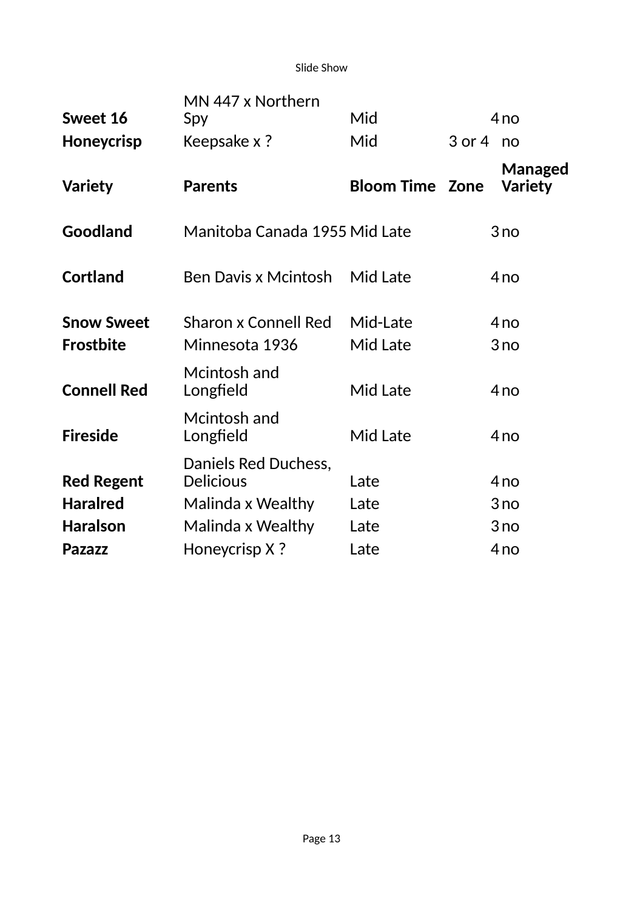Slide Show

| Sweet 16           | MN 447 x Northern<br>Spy                 | Mid                    |               | 4 <sub>no</sub>           |
|--------------------|------------------------------------------|------------------------|---------------|---------------------------|
| <b>Honeycrisp</b>  | Keepsake x ?                             | Mid                    | $3$ or $4$ no |                           |
| <b>Variety</b>     | <b>Parents</b>                           | <b>Bloom Time Zone</b> |               | Managed<br><b>Variety</b> |
| <b>Goodland</b>    | Manitoba Canada 1955 Mid Late            |                        |               | 3no                       |
| <b>Cortland</b>    | <b>Ben Davis x Mcintosh</b>              | Mid Late               |               | 4 <sub>no</sub>           |
| <b>Snow Sweet</b>  | <b>Sharon x Connell Red</b>              | Mid-Late               |               | 4no                       |
| <b>Frostbite</b>   | Minnesota 1936                           | Mid Late               |               | 3no                       |
| <b>Connell Red</b> | Mcintosh and<br>Longfield                | Mid Late               |               | 4 <sub>no</sub>           |
| <b>Fireside</b>    | Mcintosh and<br>Longfield                | Mid Late               |               | 4 <sub>no</sub>           |
| <b>Red Regent</b>  | Daniels Red Duchess,<br><b>Delicious</b> | Late                   |               | 4 <sub>no</sub>           |
| <b>Haralred</b>    | Malinda x Wealthy                        | Late                   |               | 3no                       |
| <b>Haralson</b>    | Malinda x Wealthy                        | Late                   |               | 3 no                      |
| <b>Pazazz</b>      | Honeycrisp X?                            | Late                   |               | 4 <sub>no</sub>           |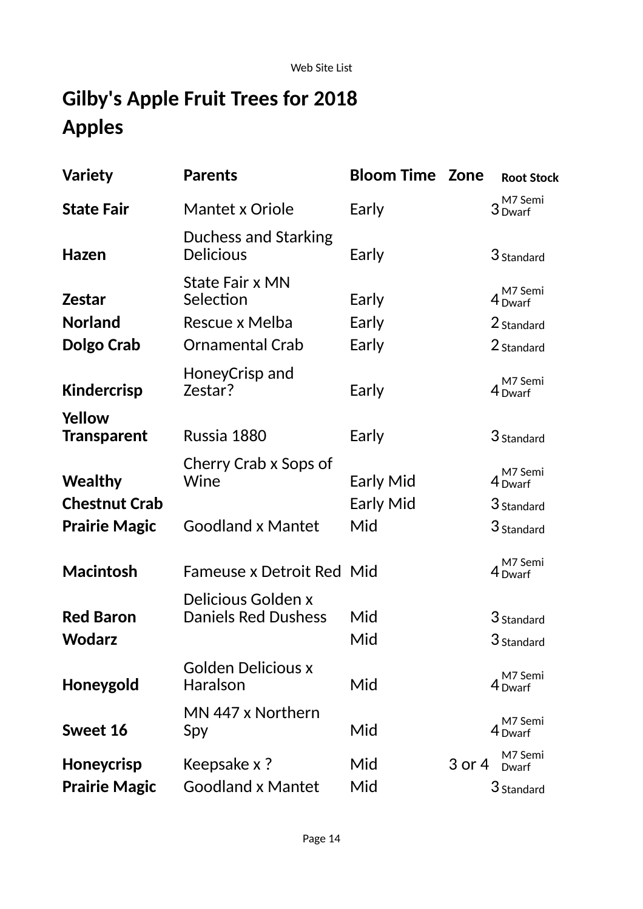# **Gilby's Apple Fruit Trees for 2018 Apples**

| <b>Variety</b>                      | <b>Parents</b>                                   | <b>Bloom Time Zone</b> |        | <b>Root Stock</b>             |
|-------------------------------------|--------------------------------------------------|------------------------|--------|-------------------------------|
| <b>State Fair</b>                   | Mantet x Oriole                                  | Early                  |        | M7 Semi<br>3 Dwarf            |
| <b>Hazen</b>                        | Duchess and Starking<br><b>Delicious</b>         | Early                  |        | 3 Standard                    |
| <b>Zestar</b>                       | <b>State Fair x MN</b><br>Selection              | Early                  |        | M7 Semi<br>4 Dwarf            |
| <b>Norland</b>                      | Rescue x Melba                                   | Early                  |        | 2 Standard                    |
| Dolgo Crab                          | <b>Ornamental Crab</b>                           | Early                  |        | 2 Standard                    |
| <b>Kindercrisp</b>                  | HoneyCrisp and<br>Zestar?                        | Early                  |        | M7 Semi<br>4 Dwarf            |
| <b>Yellow</b><br><b>Transparent</b> | Russia 1880                                      | Early                  |        | 3 Standard                    |
| <b>Wealthy</b>                      | Cherry Crab x Sops of<br>Wine                    | Early Mid              |        | M7 Semi<br>4 <sub>Dwarf</sub> |
| <b>Chestnut Crab</b>                |                                                  | Early Mid              |        | 3 Standard                    |
| <b>Prairie Magic</b>                | <b>Goodland x Mantet</b>                         | Mid                    |        | 3 Standard                    |
| <b>Macintosh</b>                    | <b>Fameuse x Detroit Red Mid</b>                 |                        |        | M7 Semi<br>4 Dwarf            |
| <b>Red Baron</b>                    | Delicious Golden x<br><b>Daniels Red Dushess</b> | Mid                    |        | 3 Standard                    |
| Wodarz                              |                                                  | Mid                    |        | 3 Standard                    |
| Honeygold                           | <b>Golden Delicious x</b><br><b>Haralson</b>     | Mid                    |        | M7 Semi<br>4 <sub>Dwarf</sub> |
| Sweet 16                            | MN 447 x Northern<br>Spy                         | Mid                    |        | M7 Semi<br>4 Dwarf            |
| Honeycrisp                          | Keepsake x ?                                     | Mid                    | 3 or 4 | M7 Semi<br>Dwarf              |
| <b>Prairie Magic</b>                | <b>Goodland x Mantet</b>                         | Mid                    |        | 3 Standard                    |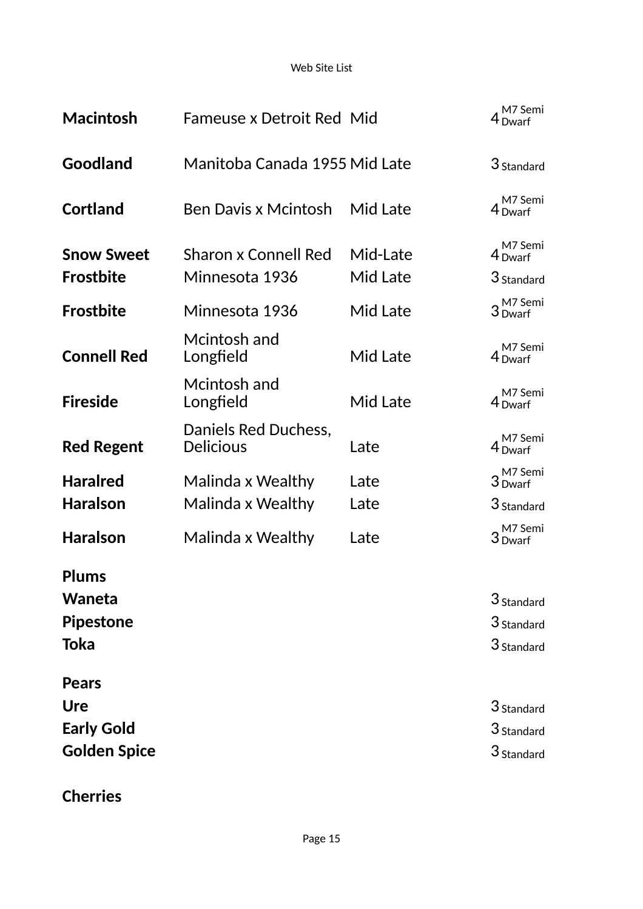Web Site List

| <b>Macintosh</b>    | <b>Fameuse x Detroit Red Mid</b>         |          | M7 Semi<br>$4$ Dwarf          |
|---------------------|------------------------------------------|----------|-------------------------------|
| Goodland            | Manitoba Canada 1955 Mid Late            |          | $3$ Standard                  |
| <b>Cortland</b>     | <b>Ben Davis x Mcintosh</b>              | Mid Late | M7 Semi<br>4 Dwarf            |
| <b>Snow Sweet</b>   | <b>Sharon x Connell Red</b>              | Mid-Late | M7 Semi<br>4 Dwarf            |
| <b>Frostbite</b>    | Minnesota 1936                           | Mid Late | 3 Standard                    |
| <b>Frostbite</b>    | Minnesota 1936                           | Mid Late | 3 M7 Semi<br>3 Dwarf          |
| <b>Connell Red</b>  | Mcintosh and<br>Longfield                | Mid Late | M7 Semi<br>$4$ Dwarf          |
| <b>Fireside</b>     | Mcintosh and<br>Longfield                | Mid Late | M7 Semi<br>4 <sub>Dwarf</sub> |
| <b>Red Regent</b>   | Daniels Red Duchess,<br><b>Delicious</b> | Late     | M7 Semi<br>4 <sub>Dwarf</sub> |
| <b>Haralred</b>     | Malinda x Wealthy                        | Late     | 3 M7 Semi<br>3 Dwarf          |
| <b>Haralson</b>     | Malinda x Wealthy                        | Late     | 3 Standard                    |
| <b>Haralson</b>     | Malinda x Wealthy                        | Late     | 3 M7 Semi<br>3 Dwarf          |
| <b>Plums</b>        |                                          |          |                               |
| Waneta              |                                          |          | 3 Standard                    |
| <b>Pipestone</b>    |                                          |          | 3 Standard                    |
| Toka                |                                          |          | 3 Standard                    |
| <b>Pears</b>        |                                          |          |                               |
| Ure                 |                                          |          | 3 Standard                    |
| <b>Early Gold</b>   |                                          |          | 3 Standard                    |
| <b>Golden Spice</b> |                                          |          | 3 Standard                    |

**Cherries**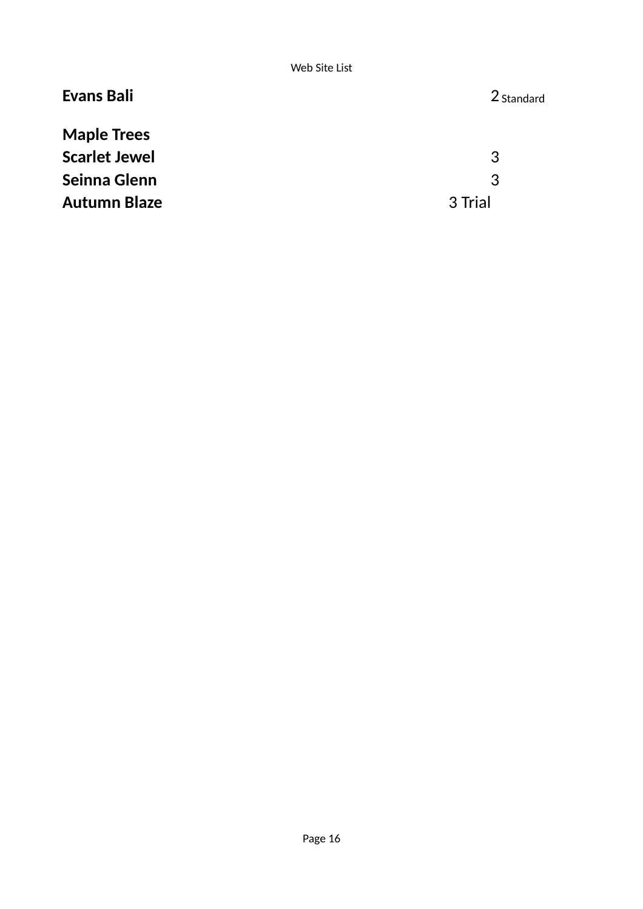| <b>Evans Bali</b>    | 2 Standard |
|----------------------|------------|
| <b>Maple Trees</b>   |            |
| <b>Scarlet Jewel</b> | 3          |
| Seinna Glenn         | 3          |
| <b>Autumn Blaze</b>  | 3 Trial    |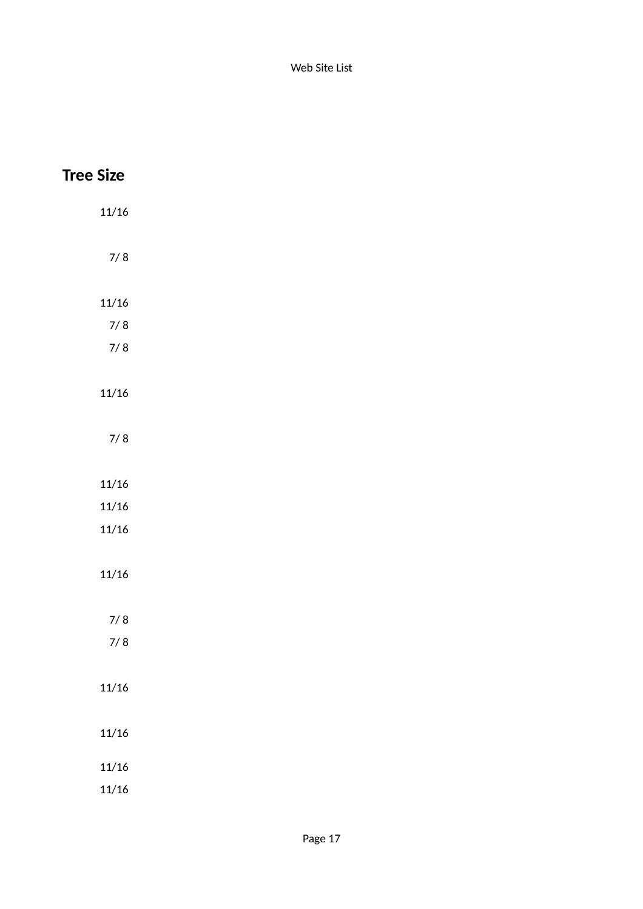| <b>Tree Size</b> |  |
|------------------|--|
| 11/16            |  |
| $7/8$            |  |
| 11/16            |  |
| $7/8$            |  |
| $7/8$            |  |
| 11/16            |  |
| $7/8$            |  |
| 11/16            |  |
| 11/16            |  |
| 11/16            |  |
| 11/16            |  |
| $7/8$            |  |
| $7/8$            |  |
|                  |  |
| $11/16\,$        |  |
| $11/16\,$        |  |
| 11/16            |  |
| 11/16            |  |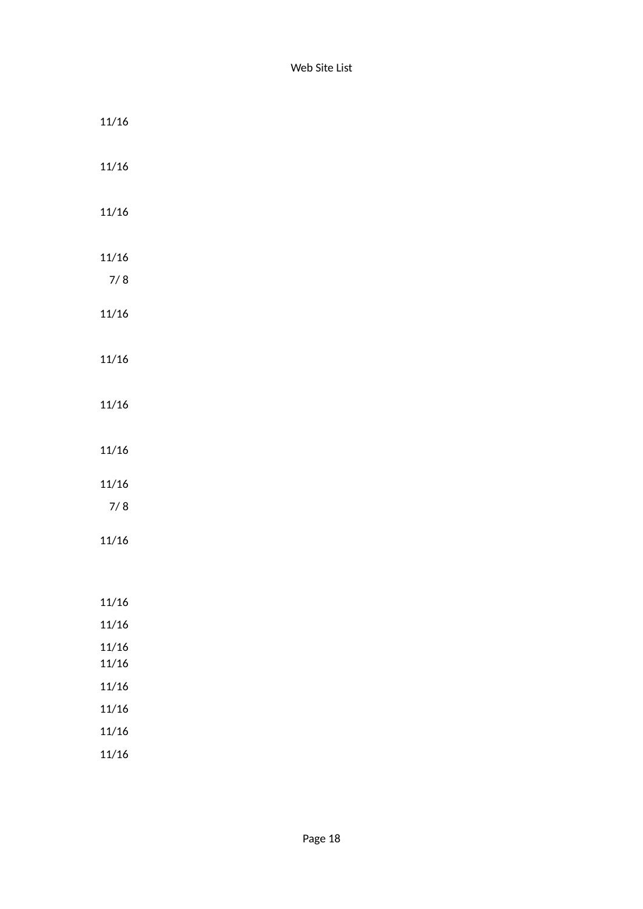| 11/16     |  |  |  |
|-----------|--|--|--|
| 11/16     |  |  |  |
| 11/16     |  |  |  |
| $11/16\,$ |  |  |  |
| $7/8$     |  |  |  |
| $11/16\,$ |  |  |  |
| $11/16\,$ |  |  |  |
| $11/16\,$ |  |  |  |
| $11/16\,$ |  |  |  |
| $11/16\,$ |  |  |  |
| $7/8$     |  |  |  |
| 11/16     |  |  |  |
|           |  |  |  |
| 11/16     |  |  |  |
| $11/16\,$ |  |  |  |
| 11/16     |  |  |  |
| $11/16\,$ |  |  |  |
| $11/16\,$ |  |  |  |
| $11/16\,$ |  |  |  |
| 11/16     |  |  |  |
| 11/16     |  |  |  |